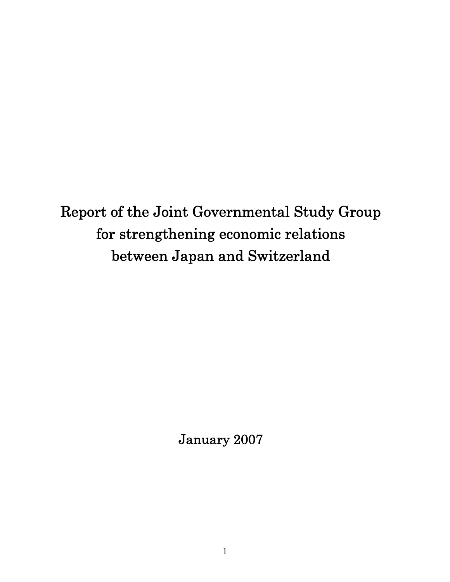Report of the Joint Governmental Study Group for strengthening economic relations between Japan and Switzerland

January 2007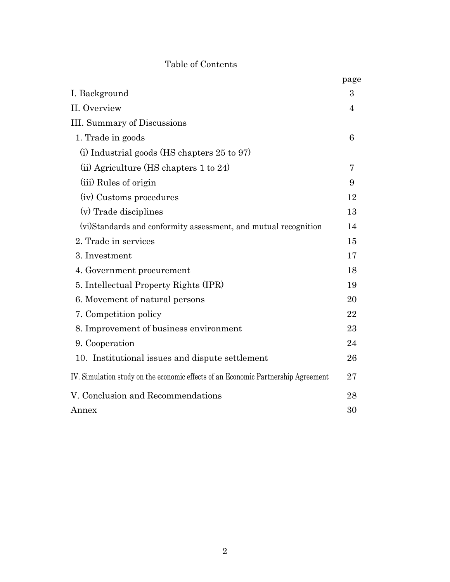# Table of Contents

|                                                                                   | page |
|-----------------------------------------------------------------------------------|------|
| I. Background                                                                     | 3    |
| II. Overview                                                                      | 4    |
| <b>III.</b> Summary of Discussions                                                |      |
| 1. Trade in goods                                                                 | 6    |
| $(i)$ Industrial goods (HS chapters 25 to 97)                                     |      |
| (ii) Agriculture (HS chapters 1 to 24)                                            | 7    |
| (iii) Rules of origin                                                             | 9    |
| (iv) Customs procedures                                                           | 12   |
| (v) Trade disciplines                                                             | 13   |
| (vi)Standards and conformity assessment, and mutual recognition                   | 14   |
| 2. Trade in services                                                              | 15   |
| 3. Investment                                                                     | 17   |
| 4. Government procurement                                                         | 18   |
| 5. Intellectual Property Rights (IPR)                                             | 19   |
| 6. Movement of natural persons                                                    | 20   |
| 7. Competition policy                                                             | 22   |
| 8. Improvement of business environment                                            | 23   |
| 9. Cooperation                                                                    | 24   |
| 10. Institutional issues and dispute settlement                                   | 26   |
| IV. Simulation study on the economic effects of an Economic Partnership Agreement | 27   |
| V. Conclusion and Recommendations                                                 | 28   |
| Annex                                                                             | 30   |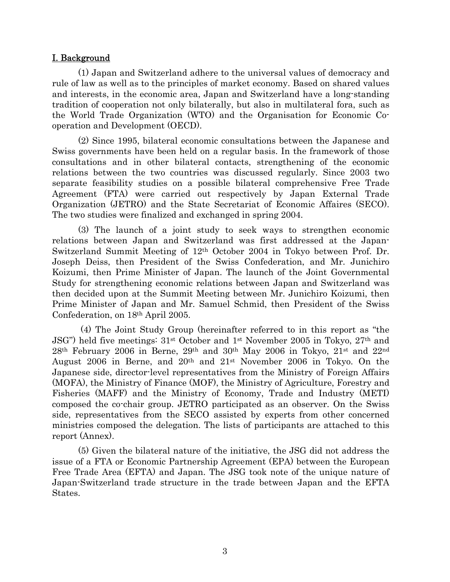## I. Background

(1) Japan and Switzerland adhere to the universal values of democracy and rule of law as well as to the principles of market economy. Based on shared values and interests, in the economic area, Japan and Switzerland have a long-standing tradition of cooperation not only bilaterally, but also in multilateral fora, such as the World Trade Organization (WTO) and the Organisation for Economic Cooperation and Development (OECD).

(2) Since 1995, bilateral economic consultations between the Japanese and Swiss governments have been held on a regular basis. In the framework of those consultations and in other bilateral contacts, strengthening of the economic relations between the two countries was discussed regularly. Since 2003 two separate feasibility studies on a possible bilateral comprehensive Free Trade Agreement (FTA) were carried out respectively by Japan External Trade Organization (JETRO) and the State Secretariat of Economic Affaires (SECO). The two studies were finalized and exchanged in spring 2004.

 (3) The launch of a joint study to seek ways to strengthen economic relations between Japan and Switzerland was first addressed at the Japan-Switzerland Summit Meeting of 12th October 2004 in Tokyo between Prof. Dr. Joseph Deiss, then President of the Swiss Confederation, and Mr. Junichiro Koizumi, then Prime Minister of Japan. The launch of the Joint Governmental Study for strengthening economic relations between Japan and Switzerland was then decided upon at the Summit Meeting between Mr. Junichiro Koizumi, then Prime Minister of Japan and Mr. Samuel Schmid, then President of the Swiss Confederation, on 18th April 2005.

 (4) The Joint Study Group (hereinafter referred to in this report as "the JSG") held five meetings: 31st October and 1st November 2005 in Tokyo, 27th and 28th February 2006 in Berne, 29th and 30th May 2006 in Tokyo, 21st and 22nd August 2006 in Berne, and 20th and 21st November 2006 in Tokyo. On the Japanese side, director-level representatives from the Ministry of Foreign Affairs (MOFA), the Ministry of Finance (MOF), the Ministry of Agriculture, Forestry and Fisheries (MAFF) and the Ministry of Economy, Trade and Industry (METI) composed the co-chair group. JETRO participated as an observer. On the Swiss side, representatives from the SECO assisted by experts from other concerned ministries composed the delegation. The lists of participants are attached to this report (Annex).

(5) Given the bilateral nature of the initiative, the JSG did not address the issue of a FTA or Economic Partnership Agreement (EPA) between the European Free Trade Area (EFTA) and Japan. The JSG took note of the unique nature of Japan-Switzerland trade structure in the trade between Japan and the EFTA States.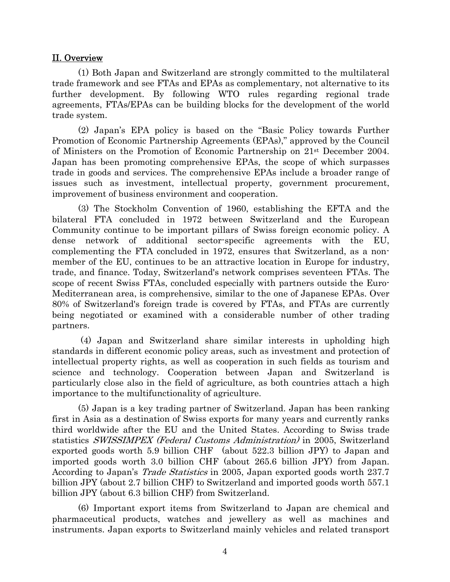## II. Overview

(1) Both Japan and Switzerland are strongly committed to the multilateral trade framework and see FTAs and EPAs as complementary, not alternative to its further development. By following WTO rules regarding regional trade agreements, FTAs/EPAs can be building blocks for the development of the world trade system.

(2) Japan's EPA policy is based on the "Basic Policy towards Further Promotion of Economic Partnership Agreements (EPAs)," approved by the Council of Ministers on the Promotion of Economic Partnership on 21st December 2004. Japan has been promoting comprehensive EPAs, the scope of which surpasses trade in goods and services. The comprehensive EPAs include a broader range of issues such as investment, intellectual property, government procurement, improvement of business environment and cooperation.

(3) The Stockholm Convention of 1960, establishing the EFTA and the bilateral FTA concluded in 1972 between Switzerland and the European Community continue to be important pillars of Swiss foreign economic policy. A dense network of additional sector-specific agreements with the EU, complementing the FTA concluded in 1972, ensures that Switzerland, as a nonmember of the EU, continues to be an attractive location in Europe for industry, trade, and finance. Today, Switzerland's network comprises seventeen FTAs. The scope of recent Swiss FTAs, concluded especially with partners outside the Euro-Mediterranean area, is comprehensive, similar to the one of Japanese EPAs. Over 80% of Switzerland's foreign trade is covered by FTAs, and FTAs are currently being negotiated or examined with a considerable number of other trading partners.

 (4) Japan and Switzerland share similar interests in upholding high standards in different economic policy areas, such as investment and protection of intellectual property rights, as well as cooperation in such fields as tourism and science and technology. Cooperation between Japan and Switzerland is particularly close also in the field of agriculture, as both countries attach a high importance to the multifunctionality of agriculture.

(5) Japan is a key trading partner of Switzerland. Japan has been ranking first in Asia as a destination of Swiss exports for many years and currently ranks third worldwide after the EU and the United States. According to Swiss trade statistics SWISSIMPEX (Federal Customs Administration) in 2005, Switzerland exported goods worth 5.9 billion CHF (about 522.3 billion JPY) to Japan and imported goods worth 3.0 billion CHF (about 265.6 billion JPY) from Japan. According to Japan's *Trade Statistics* in 2005, Japan exported goods worth 237.7 billion JPY (about 2.7 billion CHF) to Switzerland and imported goods worth 557.1 billion JPY (about 6.3 billion CHF) from Switzerland.

(6) Important export items from Switzerland to Japan are chemical and pharmaceutical products, watches and jewellery as well as machines and instruments. Japan exports to Switzerland mainly vehicles and related transport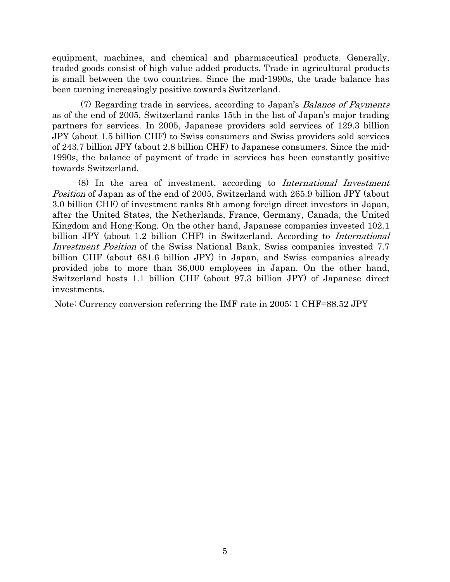equipment, machines, and chemical and pharmaceutical products. Generally, traded goods consist of high value added products. Trade in agricultural products is small between the two countries. Since the mid-1990s, the trade balance has been turning increasingly positive towards Switzerland.

 (7) Regarding trade in services, according to Japan's Balance of Payments as of the end of 2005, Switzerland ranks 15th in the list of Japan's major trading partners for services. In 2005, Japanese providers sold services of 129.3 billion JPY (about 1.5 billion CHF) to Swiss consumers and Swiss providers sold services of 243.7 billion JPY (about 2.8 billion CHF) to Japanese consumers. Since the mid-1990s, the balance of payment of trade in services has been constantly positive towards Switzerland.

(8) In the area of investment, according to International Investment Position of Japan as of the end of 2005, Switzerland with 265.9 billion JPY (about 3.0 billion CHF) of investment ranks 8th among foreign direct investors in Japan, after the United States, the Netherlands, France, Germany, Canada, the United Kingdom and Hong-Kong. On the other hand, Japanese companies invested 102.1 billion JPY (about 1.2 billion CHF) in Switzerland. According to *International* Investment Position of the Swiss National Bank, Swiss companies invested 7.7 billion CHF (about 681.6 billion JPY) in Japan, and Swiss companies already provided jobs to more than 36,000 employees in Japan. On the other hand, Switzerland hosts 1.1 billion CHF (about 97.3 billion JPY) of Japanese direct investments.

Note: Currency conversion referring the IMF rate in 2005: 1 CHF=88.52 JPY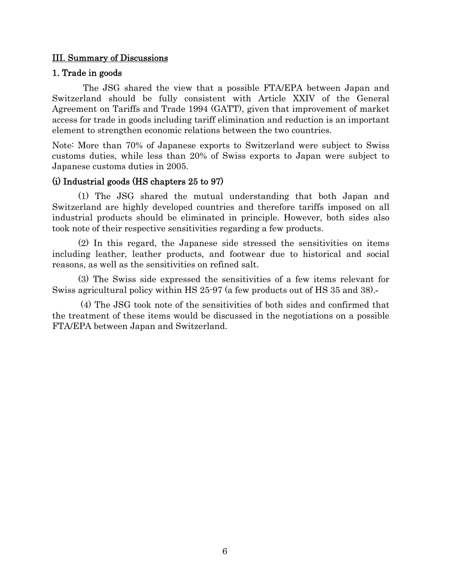# III. Summary of Discussions

## 1. Trade in goods

The JSG shared the view that a possible FTA/EPA between Japan and Switzerland should be fully consistent with Article XXIV of the General Agreement on Tariffs and Trade 1994 (GATT), given that improvement of market access for trade in goods including tariff elimination and reduction is an important element to strengthen economic relations between the two countries.

Note: More than 70% of Japanese exports to Switzerland were subject to Swiss customs duties, while less than 20% of Swiss exports to Japan were subject to Japanese customs duties in 2005.

# (i) Industrial goods (HS chapters 25 to 97)

(1) The JSG shared the mutual understanding that both Japan and Switzerland are highly developed countries and therefore tariffs imposed on all industrial products should be eliminated in principle. However, both sides also took note of their respective sensitivities regarding a few products.

(2) In this regard, the Japanese side stressed the sensitivities on items including leather, leather products, and footwear due to historical and social reasons, as well as the sensitivities on refined salt.

(3) The Swiss side expressed the sensitivities of a few items relevant for Swiss agricultural policy within HS 25-97 (a few products out of HS 35 and 38).

 (4) The JSG took note of the sensitivities of both sides and confirmed that the treatment of these items would be discussed in the negotiations on a possible FTA/EPA between Japan and Switzerland.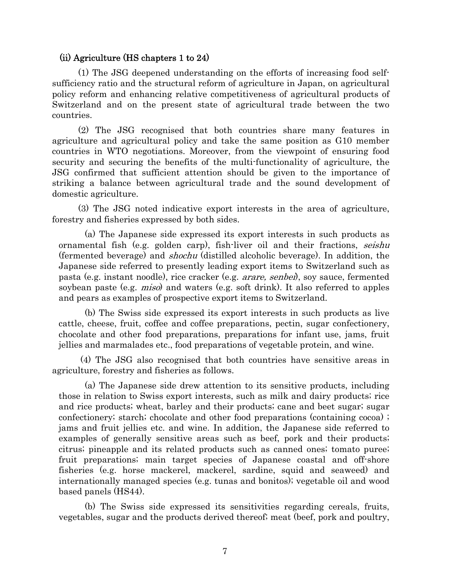#### (ii) Agriculture (HS chapters 1 to 24)

(1) The JSG deepened understanding on the efforts of increasing food selfsufficiency ratio and the structural reform of agriculture in Japan, on agricultural policy reform and enhancing relative competitiveness of agricultural products of Switzerland and on the present state of agricultural trade between the two countries.

(2) The JSG recognised that both countries share many features in agriculture and agricultural policy and take the same position as G10 member countries in WTO negotiations. Moreover, from the viewpoint of ensuring food security and securing the benefits of the multi-functionality of agriculture, the JSG confirmed that sufficient attention should be given to the importance of striking a balance between agricultural trade and the sound development of domestic agriculture.

(3) The JSG noted indicative export interests in the area of agriculture, forestry and fisheries expressed by both sides.

(a) The Japanese side expressed its export interests in such products as ornamental fish (e.g. golden carp), fish-liver oil and their fractions, seishu (fermented beverage) and shochu (distilled alcoholic beverage). In addition, the Japanese side referred to presently leading export items to Switzerland such as pasta (e.g. instant noodle), rice cracker (e.g. arare, senbei), soy sauce, fermented soybean paste (e.g. *miso*) and waters (e.g. soft drink). It also referred to apples and pears as examples of prospective export items to Switzerland.

(b) The Swiss side expressed its export interests in such products as live cattle, cheese, fruit, coffee and coffee preparations, pectin, sugar confectionery, chocolate and other food preparations, preparations for infant use, jams, fruit jellies and marmalades etc., food preparations of vegetable protein, and wine.

(4) The JSG also recognised that both countries have sensitive areas in agriculture, forestry and fisheries as follows.

(a) The Japanese side drew attention to its sensitive products, including those in relation to Swiss export interests, such as milk and dairy products; rice and rice products; wheat, barley and their products; cane and beet sugar; sugar confectionery; starch; chocolate and other food preparations (containing cocoa) ; jams and fruit jellies etc. and wine. In addition, the Japanese side referred to examples of generally sensitive areas such as beef, pork and their products; citrus; pineapple and its related products such as canned ones; tomato puree; fruit preparations; main target species of Japanese coastal and off-shore fisheries (e.g. horse mackerel, mackerel, sardine, squid and seaweed) and internationally managed species (e.g. tunas and bonitos); vegetable oil and wood based panels (HS44).

(b) The Swiss side expressed its sensitivities regarding cereals, fruits, vegetables, sugar and the products derived thereof; meat (beef, pork and poultry,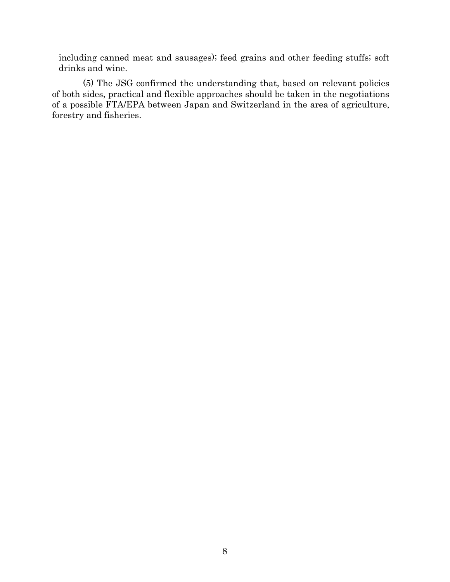including canned meat and sausages); feed grains and other feeding stuffs; soft drinks and wine.

(5) The JSG confirmed the understanding that, based on relevant policies of both sides, practical and flexible approaches should be taken in the negotiations of a possible FTA/EPA between Japan and Switzerland in the area of agriculture, forestry and fisheries.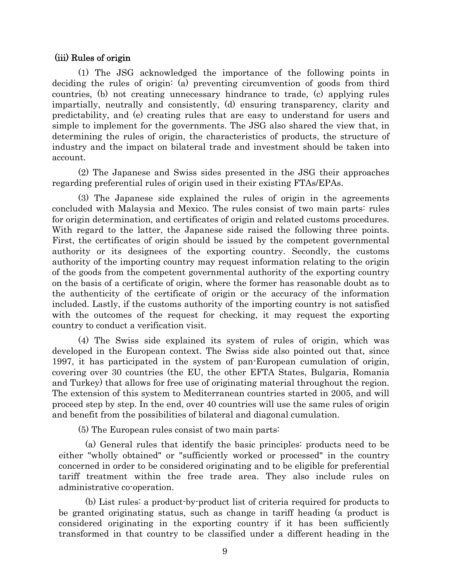### (iii) Rules of origin

(1) The JSG acknowledged the importance of the following points in deciding the rules of origin: (a) preventing circumvention of goods from third countries, (b) not creating unnecessary hindrance to trade, (c) applying rules impartially, neutrally and consistently, (d) ensuring transparency, clarity and predictability, and (e) creating rules that are easy to understand for users and simple to implement for the governments. The JSG also shared the view that, in determining the rules of origin, the characteristics of products, the structure of industry and the impact on bilateral trade and investment should be taken into account.

(2) The Japanese and Swiss sides presented in the JSG their approaches regarding preferential rules of origin used in their existing FTAs/EPAs.

(3) The Japanese side explained the rules of origin in the agreements concluded with Malaysia and Mexico. The rules consist of two main parts: rules for origin determination, and certificates of origin and related customs procedures. With regard to the latter, the Japanese side raised the following three points. First, the certificates of origin should be issued by the competent governmental authority or its designees of the exporting country. Secondly, the customs authority of the importing country may request information relating to the origin of the goods from the competent governmental authority of the exporting country on the basis of a certificate of origin, where the former has reasonable doubt as to the authenticity of the certificate of origin or the accuracy of the information included. Lastly, if the customs authority of the importing country is not satisfied with the outcomes of the request for checking, it may request the exporting country to conduct a verification visit.

(4) The Swiss side explained its system of rules of origin, which was developed in the European context. The Swiss side also pointed out that, since 1997, it has participated in the system of pan-European cumulation of origin, covering over 30 countries (the EU, the other EFTA States, Bulgaria, Romania and Turkey) that allows for free use of originating material throughout the region. The extension of this system to Mediterranean countries started in 2005, and will proceed step by step. In the end, over 40 countries will use the same rules of origin and benefit from the possibilities of bilateral and diagonal cumulation.

(5) The European rules consist of two main parts:

(a) General rules that identify the basic principles: products need to be either "wholly obtained" or "sufficiently worked or processed" in the country concerned in order to be considered originating and to be eligible for preferential tariff treatment within the free trade area. They also include rules on administrative co-operation.

(b) List rules: a product-by-product list of criteria required for products to be granted originating status, such as change in tariff heading (a product is considered originating in the exporting country if it has been sufficiently transformed in that country to be classified under a different heading in the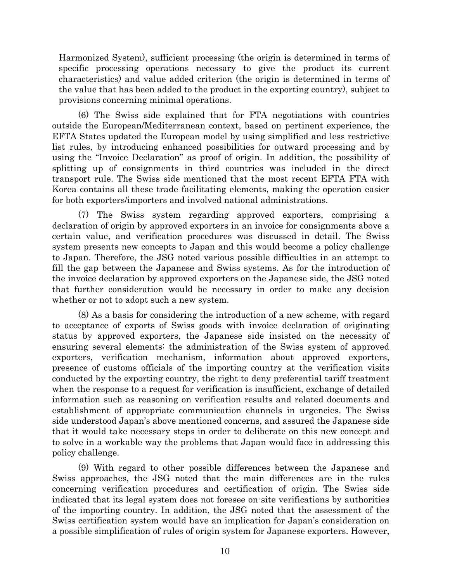Harmonized System), sufficient processing (the origin is determined in terms of specific processing operations necessary to give the product its current characteristics) and value added criterion (the origin is determined in terms of the value that has been added to the product in the exporting country), subject to provisions concerning minimal operations.

(6) The Swiss side explained that for FTA negotiations with countries outside the European/Mediterranean context, based on pertinent experience, the EFTA States updated the European model by using simplified and less restrictive list rules, by introducing enhanced possibilities for outward processing and by using the "Invoice Declaration" as proof of origin. In addition, the possibility of splitting up of consignments in third countries was included in the direct transport rule. The Swiss side mentioned that the most recent EFTA FTA with Korea contains all these trade facilitating elements, making the operation easier for both exporters/importers and involved national administrations.

(7) The Swiss system regarding approved exporters, comprising a declaration of origin by approved exporters in an invoice for consignments above a certain value, and verification procedures was discussed in detail. The Swiss system presents new concepts to Japan and this would become a policy challenge to Japan. Therefore, the JSG noted various possible difficulties in an attempt to fill the gap between the Japanese and Swiss systems. As for the introduction of the invoice declaration by approved exporters on the Japanese side, the JSG noted that further consideration would be necessary in order to make any decision whether or not to adopt such a new system.

(8) As a basis for considering the introduction of a new scheme, with regard to acceptance of exports of Swiss goods with invoice declaration of originating status by approved exporters, the Japanese side insisted on the necessity of ensuring several elements: the administration of the Swiss system of approved exporters, verification mechanism, information about approved exporters, presence of customs officials of the importing country at the verification visits conducted by the exporting country, the right to deny preferential tariff treatment when the response to a request for verification is insufficient, exchange of detailed information such as reasoning on verification results and related documents and establishment of appropriate communication channels in urgencies. The Swiss side understood Japan's above mentioned concerns, and assured the Japanese side that it would take necessary steps in order to deliberate on this new concept and to solve in a workable way the problems that Japan would face in addressing this policy challenge.

(9) With regard to other possible differences between the Japanese and Swiss approaches, the JSG noted that the main differences are in the rules concerning verification procedures and certification of origin. The Swiss side indicated that its legal system does not foresee on-site verifications by authorities of the importing country. In addition, the JSG noted that the assessment of the Swiss certification system would have an implication for Japan's consideration on a possible simplification of rules of origin system for Japanese exporters. However,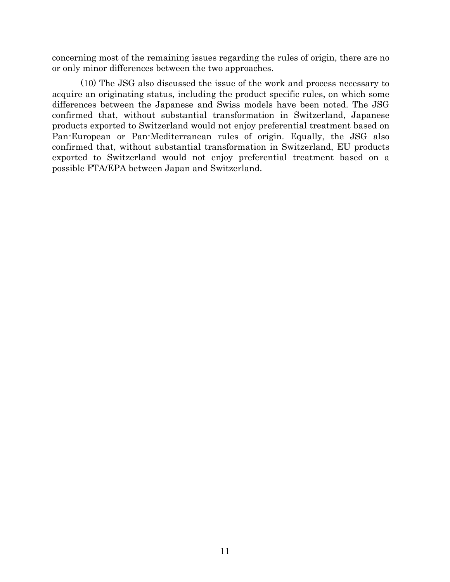concerning most of the remaining issues regarding the rules of origin, there are no or only minor differences between the two approaches.

 (10) The JSG also discussed the issue of the work and process necessary to acquire an originating status, including the product specific rules, on which some differences between the Japanese and Swiss models have been noted. The JSG confirmed that, without substantial transformation in Switzerland, Japanese products exported to Switzerland would not enjoy preferential treatment based on Pan-European or Pan-Mediterranean rules of origin. Equally, the JSG also confirmed that, without substantial transformation in Switzerland, EU products exported to Switzerland would not enjoy preferential treatment based on a possible FTA/EPA between Japan and Switzerland.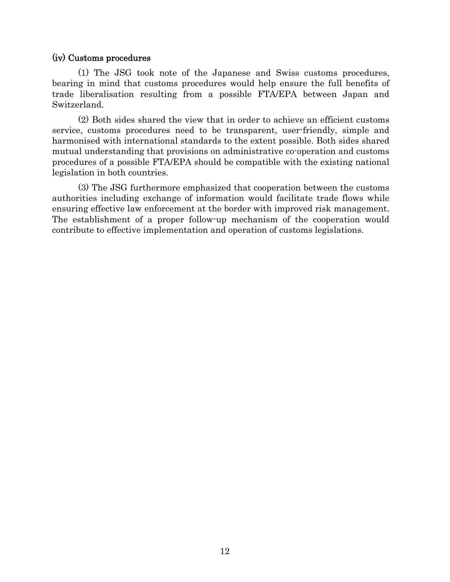## (iv) Customs procedures

(1) The JSG took note of the Japanese and Swiss customs procedures, bearing in mind that customs procedures would help ensure the full benefits of trade liberalisation resulting from a possible FTA/EPA between Japan and Switzerland.

(2) Both sides shared the view that in order to achieve an efficient customs service, customs procedures need to be transparent, user-friendly, simple and harmonised with international standards to the extent possible. Both sides shared mutual understanding that provisions on administrative co-operation and customs procedures of a possible FTA/EPA should be compatible with the existing national legislation in both countries.

(3) The JSG furthermore emphasized that cooperation between the customs authorities including exchange of information would facilitate trade flows while ensuring effective law enforcement at the border with improved risk management. The establishment of a proper follow-up mechanism of the cooperation would contribute to effective implementation and operation of customs legislations.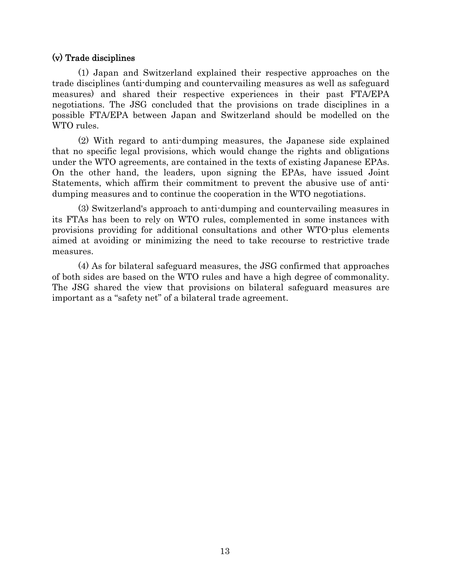# (v) Trade disciplines

(1) Japan and Switzerland explained their respective approaches on the trade disciplines (anti-dumping and countervailing measures as well as safeguard measures) and shared their respective experiences in their past FTA/EPA negotiations. The JSG concluded that the provisions on trade disciplines in a possible FTA/EPA between Japan and Switzerland should be modelled on the WTO rules.

(2) With regard to anti-dumping measures, the Japanese side explained that no specific legal provisions, which would change the rights and obligations under the WTO agreements, are contained in the texts of existing Japanese EPAs. On the other hand, the leaders, upon signing the EPAs, have issued Joint Statements, which affirm their commitment to prevent the abusive use of antidumping measures and to continue the cooperation in the WTO negotiations.

(3) Switzerland's approach to anti-dumping and countervailing measures in its FTAs has been to rely on WTO rules, complemented in some instances with provisions providing for additional consultations and other WTO-plus elements aimed at avoiding or minimizing the need to take recourse to restrictive trade measures.

(4) As for bilateral safeguard measures, the JSG confirmed that approaches of both sides are based on the WTO rules and have a high degree of commonality. The JSG shared the view that provisions on bilateral safeguard measures are important as a "safety net" of a bilateral trade agreement.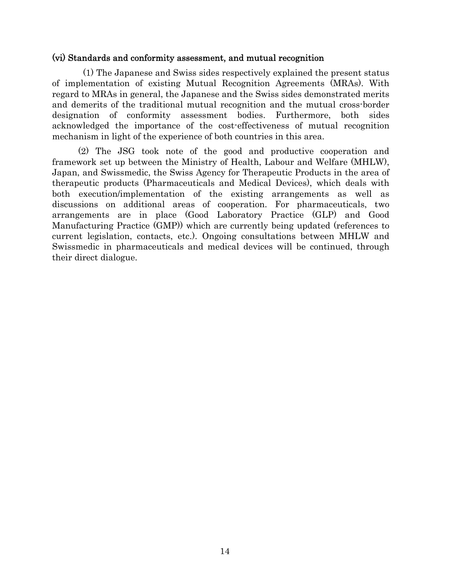# (vi) Standards and conformity assessment, and mutual recognition

(1) The Japanese and Swiss sides respectively explained the present status of implementation of existing Mutual Recognition Agreements (MRAs). With regard to MRAs in general, the Japanese and the Swiss sides demonstrated merits and demerits of the traditional mutual recognition and the mutual cross-border designation of conformity assessment bodies. Furthermore, both sides acknowledged the importance of the cost-effectiveness of mutual recognition mechanism in light of the experience of both countries in this area.

 (2) The JSG took note of the good and productive cooperation and framework set up between the Ministry of Health, Labour and Welfare (MHLW), Japan, and Swissmedic, the Swiss Agency for Therapeutic Products in the area of therapeutic products (Pharmaceuticals and Medical Devices), which deals with both execution/implementation of the existing arrangements as well as discussions on additional areas of cooperation. For pharmaceuticals, two arrangements are in place (Good Laboratory Practice (GLP) and Good Manufacturing Practice (GMP)) which are currently being updated (references to current legislation, contacts, etc.). Ongoing consultations between MHLW and Swissmedic in pharmaceuticals and medical devices will be continued, through their direct dialogue.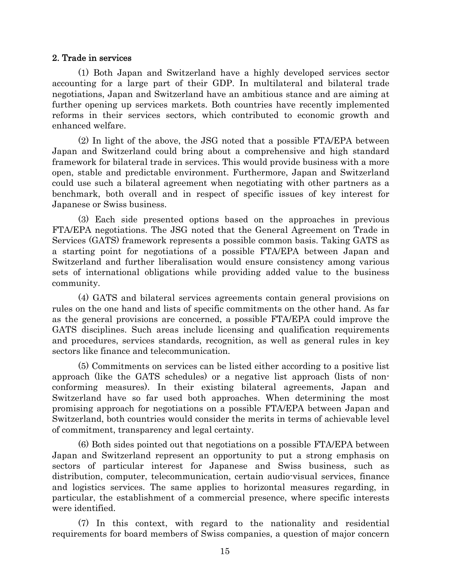#### 2. Trade in services

(1) Both Japan and Switzerland have a highly developed services sector accounting for a large part of their GDP. In multilateral and bilateral trade negotiations, Japan and Switzerland have an ambitious stance and are aiming at further opening up services markets. Both countries have recently implemented reforms in their services sectors, which contributed to economic growth and enhanced welfare.

(2) In light of the above, the JSG noted that a possible FTA/EPA between Japan and Switzerland could bring about a comprehensive and high standard framework for bilateral trade in services. This would provide business with a more open, stable and predictable environment. Furthermore, Japan and Switzerland could use such a bilateral agreement when negotiating with other partners as a benchmark, both overall and in respect of specific issues of key interest for Japanese or Swiss business.

(3) Each side presented options based on the approaches in previous FTA/EPA negotiations. The JSG noted that the General Agreement on Trade in Services (GATS) framework represents a possible common basis. Taking GATS as a starting point for negotiations of a possible FTA/EPA between Japan and Switzerland and further liberalisation would ensure consistency among various sets of international obligations while providing added value to the business community.

(4) GATS and bilateral services agreements contain general provisions on rules on the one hand and lists of specific commitments on the other hand. As far as the general provisions are concerned, a possible FTA/EPA could improve the GATS disciplines. Such areas include licensing and qualification requirements and procedures, services standards, recognition, as well as general rules in key sectors like finance and telecommunication.

(5) Commitments on services can be listed either according to a positive list approach (like the GATS schedules) or a negative list approach (lists of nonconforming measures). In their existing bilateral agreements, Japan and Switzerland have so far used both approaches. When determining the most promising approach for negotiations on a possible FTA/EPA between Japan and Switzerland, both countries would consider the merits in terms of achievable level of commitment, transparency and legal certainty.

(6) Both sides pointed out that negotiations on a possible FTA/EPA between Japan and Switzerland represent an opportunity to put a strong emphasis on sectors of particular interest for Japanese and Swiss business, such as distribution, computer, telecommunication, certain audio-visual services, finance and logistics services. The same applies to horizontal measures regarding, in particular, the establishment of a commercial presence, where specific interests were identified.

(7) In this context, with regard to the nationality and residential requirements for board members of Swiss companies, a question of major concern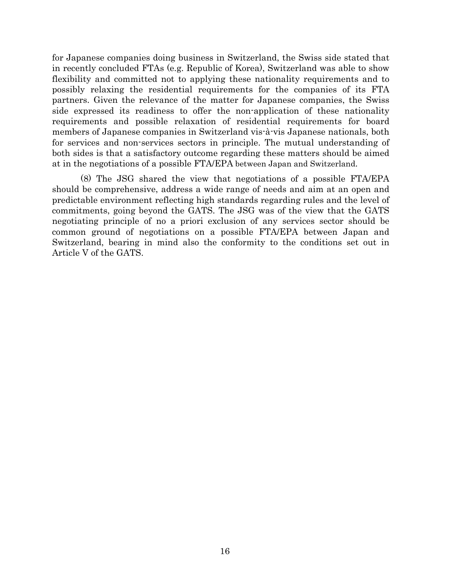for Japanese companies doing business in Switzerland, the Swiss side stated that in recently concluded FTAs (e.g. Republic of Korea), Switzerland was able to show flexibility and committed not to applying these nationality requirements and to possibly relaxing the residential requirements for the companies of its FTA partners. Given the relevance of the matter for Japanese companies, the Swiss side expressed its readiness to offer the non-application of these nationality requirements and possible relaxation of residential requirements for board members of Japanese companies in Switzerland vis-à-vis Japanese nationals, both for services and non-services sectors in principle. The mutual understanding of both sides is that a satisfactory outcome regarding these matters should be aimed at in the negotiations of a possible FTA/EPA between Japan and Switzerland.

 (8) The JSG shared the view that negotiations of a possible FTA/EPA should be comprehensive, address a wide range of needs and aim at an open and predictable environment reflecting high standards regarding rules and the level of commitments, going beyond the GATS. The JSG was of the view that the GATS negotiating principle of no a priori exclusion of any services sector should be common ground of negotiations on a possible FTA/EPA between Japan and Switzerland, bearing in mind also the conformity to the conditions set out in Article V of the GATS.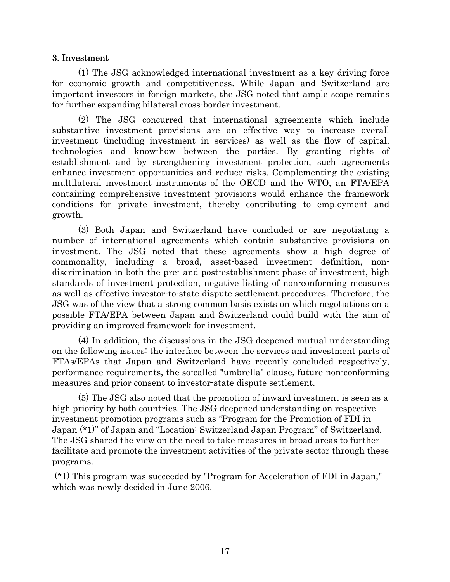## 3. Investment

(1) The JSG acknowledged international investment as a key driving force for economic growth and competitiveness. While Japan and Switzerland are important investors in foreign markets, the JSG noted that ample scope remains for further expanding bilateral cross-border investment.

(2) The JSG concurred that international agreements which include substantive investment provisions are an effective way to increase overall investment (including investment in services) as well as the flow of capital, technologies and know-how between the parties. By granting rights of establishment and by strengthening investment protection, such agreements enhance investment opportunities and reduce risks. Complementing the existing multilateral investment instruments of the OECD and the WTO, an FTA/EPA containing comprehensive investment provisions would enhance the framework conditions for private investment, thereby contributing to employment and growth.

(3) Both Japan and Switzerland have concluded or are negotiating a number of international agreements which contain substantive provisions on investment. The JSG noted that these agreements show a high degree of commonality, including a broad, asset-based investment definition, nondiscrimination in both the pre- and post-establishment phase of investment, high standards of investment protection, negative listing of non-conforming measures as well as effective investor-to-state dispute settlement procedures. Therefore, the JSG was of the view that a strong common basis exists on which negotiations on a possible FTA/EPA between Japan and Switzerland could build with the aim of providing an improved framework for investment.

(4) In addition, the discussions in the JSG deepened mutual understanding on the following issues: the interface between the services and investment parts of FTAs/EPAs that Japan and Switzerland have recently concluded respectively, performance requirements, the so-called "umbrella" clause, future non-conforming measures and prior consent to investor-state dispute settlement.

 (5) The JSG also noted that the promotion of inward investment is seen as a high priority by both countries. The JSG deepened understanding on respective investment promotion programs such as "Program for the Promotion of FDI in Japan (\*1)" of Japan and "Location: Switzerland Japan Program" of Switzerland. The JSG shared the view on the need to take measures in broad areas to further facilitate and promote the investment activities of the private sector through these programs.

 (\*1) This program was succeeded by "Program for Acceleration of FDI in Japan," which was newly decided in June 2006.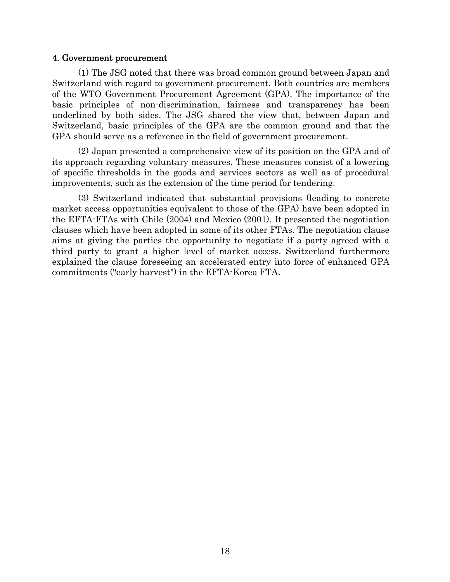#### 4. Government procurement

(1) The JSG noted that there was broad common ground between Japan and Switzerland with regard to government procurement. Both countries are members of the WTO Government Procurement Agreement (GPA). The importance of the basic principles of non-discrimination, fairness and transparency has been underlined by both sides. The JSG shared the view that, between Japan and Switzerland, basic principles of the GPA are the common ground and that the GPA should serve as a reference in the field of government procurement.

(2) Japan presented a comprehensive view of its position on the GPA and of its approach regarding voluntary measures. These measures consist of a lowering of specific thresholds in the goods and services sectors as well as of procedural improvements, such as the extension of the time period for tendering.

(3) Switzerland indicated that substantial provisions (leading to concrete market access opportunities equivalent to those of the GPA) have been adopted in the EFTA-FTAs with Chile (2004) and Mexico (2001). It presented the negotiation clauses which have been adopted in some of its other FTAs. The negotiation clause aims at giving the parties the opportunity to negotiate if a party agreed with a third party to grant a higher level of market access. Switzerland furthermore explained the clause foreseeing an accelerated entry into force of enhanced GPA commitments ("early harvest") in the EFTA-Korea FTA.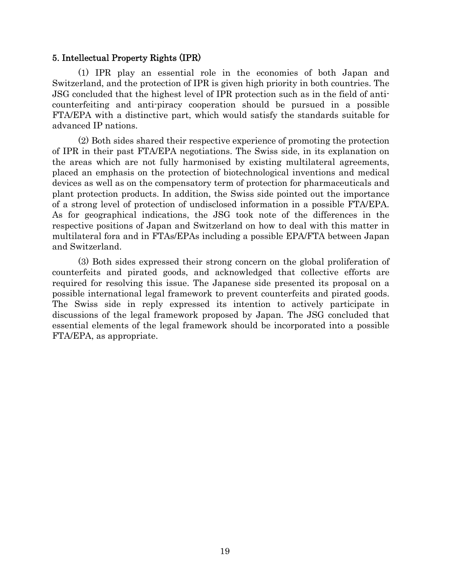## 5. Intellectual Property Rights (IPR)

(1) IPR play an essential role in the economies of both Japan and Switzerland, and the protection of IPR is given high priority in both countries. The JSG concluded that the highest level of IPR protection such as in the field of anticounterfeiting and anti-piracy cooperation should be pursued in a possible FTA/EPA with a distinctive part, which would satisfy the standards suitable for advanced IP nations.

(2) Both sides shared their respective experience of promoting the protection of IPR in their past FTA/EPA negotiations. The Swiss side, in its explanation on the areas which are not fully harmonised by existing multilateral agreements, placed an emphasis on the protection of biotechnological inventions and medical devices as well as on the compensatory term of protection for pharmaceuticals and plant protection products. In addition, the Swiss side pointed out the importance of a strong level of protection of undisclosed information in a possible FTA/EPA. As for geographical indications, the JSG took note of the differences in the respective positions of Japan and Switzerland on how to deal with this matter in multilateral fora and in FTAs/EPAs including a possible EPA/FTA between Japan and Switzerland.

(3) Both sides expressed their strong concern on the global proliferation of counterfeits and pirated goods, and acknowledged that collective efforts are required for resolving this issue. The Japanese side presented its proposal on a possible international legal framework to prevent counterfeits and pirated goods. The Swiss side in reply expressed its intention to actively participate in discussions of the legal framework proposed by Japan. The JSG concluded that essential elements of the legal framework should be incorporated into a possible FTA/EPA, as appropriate.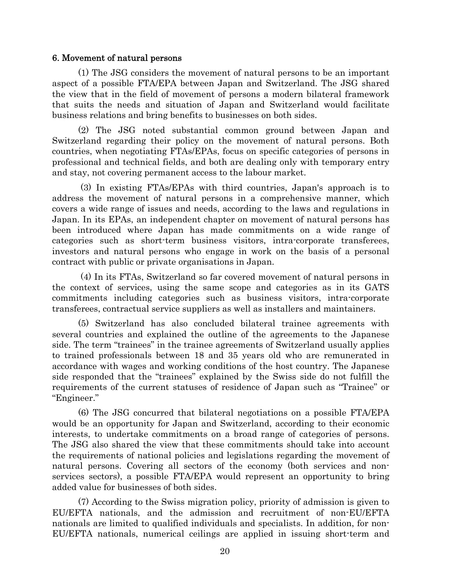## 6. Movement of natural persons

(1) The JSG considers the movement of natural persons to be an important aspect of a possible FTA/EPA between Japan and Switzerland. The JSG shared the view that in the field of movement of persons a modern bilateral framework that suits the needs and situation of Japan and Switzerland would facilitate business relations and bring benefits to businesses on both sides.

(2) The JSG noted substantial common ground between Japan and Switzerland regarding their policy on the movement of natural persons. Both countries, when negotiating FTAs/EPAs, focus on specific categories of persons in professional and technical fields, and both are dealing only with temporary entry and stay, not covering permanent access to the labour market.

 (3) In existing FTAs/EPAs with third countries, Japan's approach is to address the movement of natural persons in a comprehensive manner, which covers a wide range of issues and needs, according to the laws and regulations in Japan. In its EPAs, an independent chapter on movement of natural persons has been introduced where Japan has made commitments on a wide range of categories such as short-term business visitors, intra-corporate transferees, investors and natural persons who engage in work on the basis of a personal contract with public or private organisations in Japan.

 (4) In its FTAs, Switzerland so far covered movement of natural persons in the context of services, using the same scope and categories as in its GATS commitments including categories such as business visitors, intra-corporate transferees, contractual service suppliers as well as installers and maintainers.

(5) Switzerland has also concluded bilateral trainee agreements with several countries and explained the outline of the agreements to the Japanese side. The term "trainees" in the trainee agreements of Switzerland usually applies to trained professionals between 18 and 35 years old who are remunerated in accordance with wages and working conditions of the host country. The Japanese side responded that the "trainees" explained by the Swiss side do not fulfill the requirements of the current statuses of residence of Japan such as "Trainee" or "Engineer."

(6) The JSG concurred that bilateral negotiations on a possible FTA/EPA would be an opportunity for Japan and Switzerland, according to their economic interests, to undertake commitments on a broad range of categories of persons. The JSG also shared the view that these commitments should take into account the requirements of national policies and legislations regarding the movement of natural persons. Covering all sectors of the economy (both services and nonservices sectors), a possible FTA/EPA would represent an opportunity to bring added value for businesses of both sides.

(7) According to the Swiss migration policy, priority of admission is given to EU/EFTA nationals, and the admission and recruitment of non-EU/EFTA nationals are limited to qualified individuals and specialists. In addition, for non-EU/EFTA nationals, numerical ceilings are applied in issuing short-term and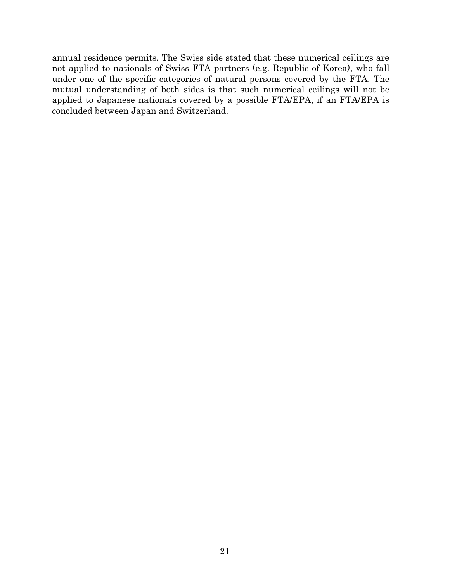annual residence permits. The Swiss side stated that these numerical ceilings are not applied to nationals of Swiss FTA partners (e.g. Republic of Korea), who fall under one of the specific categories of natural persons covered by the FTA. The mutual understanding of both sides is that such numerical ceilings will not be applied to Japanese nationals covered by a possible FTA/EPA, if an FTA/EPA is concluded between Japan and Switzerland.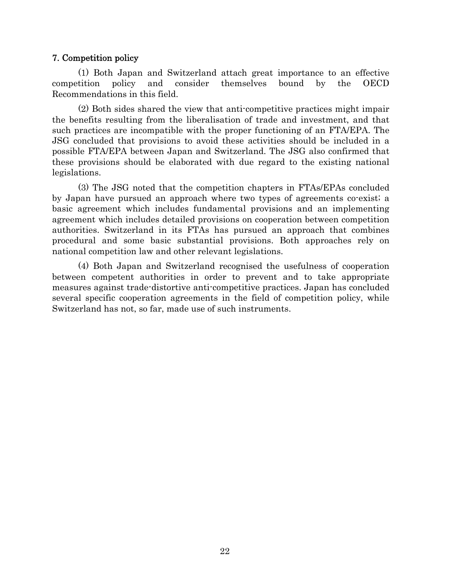## 7. Competition policy

(1) Both Japan and Switzerland attach great importance to an effective competition policy and consider themselves bound by the OECD Recommendations in this field.

(2) Both sides shared the view that anti-competitive practices might impair the benefits resulting from the liberalisation of trade and investment, and that such practices are incompatible with the proper functioning of an FTA/EPA. The JSG concluded that provisions to avoid these activities should be included in a possible FTA/EPA between Japan and Switzerland. The JSG also confirmed that these provisions should be elaborated with due regard to the existing national legislations.

(3) The JSG noted that the competition chapters in FTAs/EPAs concluded by Japan have pursued an approach where two types of agreements co-exist; a basic agreement which includes fundamental provisions and an implementing agreement which includes detailed provisions on cooperation between competition authorities. Switzerland in its FTAs has pursued an approach that combines procedural and some basic substantial provisions. Both approaches rely on national competition law and other relevant legislations.

(4) Both Japan and Switzerland recognised the usefulness of cooperation between competent authorities in order to prevent and to take appropriate measures against trade-distortive anti-competitive practices. Japan has concluded several specific cooperation agreements in the field of competition policy, while Switzerland has not, so far, made use of such instruments.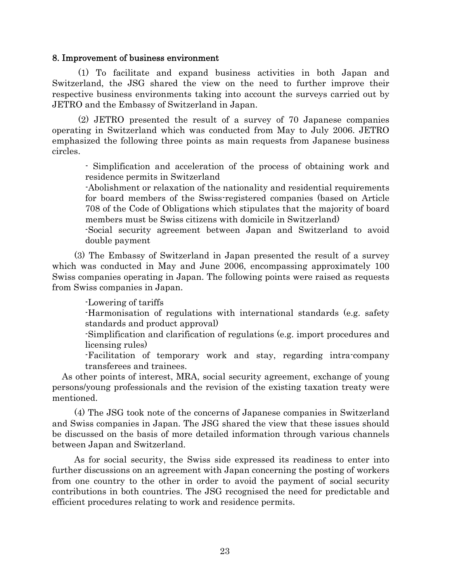### 8. Improvement of business environment

(1) To facilitate and expand business activities in both Japan and Switzerland, the JSG shared the view on the need to further improve their respective business environments taking into account the surveys carried out by JETRO and the Embassy of Switzerland in Japan.

(2) JETRO presented the result of a survey of 70 Japanese companies operating in Switzerland which was conducted from May to July 2006. JETRO emphasized the following three points as main requests from Japanese business circles.

- Simplification and acceleration of the process of obtaining work and residence permits in Switzerland

-Abolishment or relaxation of the nationality and residential requirements for board members of the Swiss-registered companies (based on Article 708 of the Code of Obligations which stipulates that the majority of board members must be Swiss citizens with domicile in Switzerland)

-Social security agreement between Japan and Switzerland to avoid double payment

(3) The Embassy of Switzerland in Japan presented the result of a survey which was conducted in May and June 2006, encompassing approximately 100 Swiss companies operating in Japan. The following points were raised as requests from Swiss companies in Japan.

-Lowering of tariffs

-Harmonisation of regulations with international standards (e.g. safety standards and product approval)

-Simplification and clarification of regulations (e.g. import procedures and licensing rules)

-Facilitation of temporary work and stay, regarding intra-company transferees and trainees.

 As other points of interest, MRA, social security agreement, exchange of young persons/young professionals and the revision of the existing taxation treaty were mentioned.

(4) The JSG took note of the concerns of Japanese companies in Switzerland and Swiss companies in Japan. The JSG shared the view that these issues should be discussed on the basis of more detailed information through various channels between Japan and Switzerland.

As for social security, the Swiss side expressed its readiness to enter into further discussions on an agreement with Japan concerning the posting of workers from one country to the other in order to avoid the payment of social security contributions in both countries. The JSG recognised the need for predictable and efficient procedures relating to work and residence permits.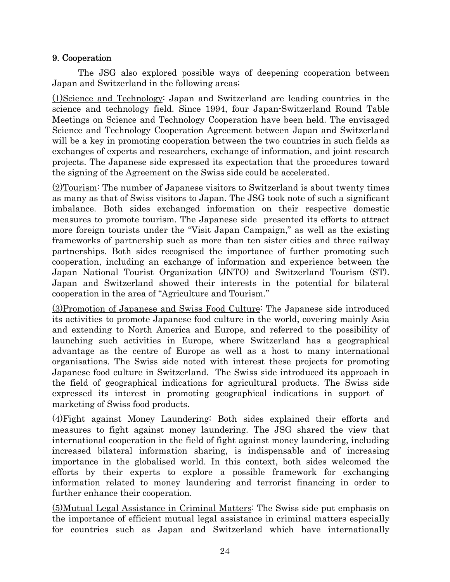# 9. Cooperation

The JSG also explored possible ways of deepening cooperation between Japan and Switzerland in the following areas;

(1)Science and Technology: Japan and Switzerland are leading countries in the science and technology field. Since 1994, four Japan-Switzerland Round Table Meetings on Science and Technology Cooperation have been held. The envisaged Science and Technology Cooperation Agreement between Japan and Switzerland will be a key in promoting cooperation between the two countries in such fields as exchanges of experts and researchers, exchange of information, and joint research projects. The Japanese side expressed its expectation that the procedures toward the signing of the Agreement on the Swiss side could be accelerated.

(2)Tourism: The number of Japanese visitors to Switzerland is about twenty times as many as that of Swiss visitors to Japan. The JSG took note of such a significant imbalance. Both sides exchanged information on their respective domestic measures to promote tourism. The Japanese side presented its efforts to attract more foreign tourists under the "Visit Japan Campaign," as well as the existing frameworks of partnership such as more than ten sister cities and three railway partnerships. Both sides recognised the importance of further promoting such cooperation, including an exchange of information and experience between the Japan National Tourist Organization (JNTO) and Switzerland Tourism (ST). Japan and Switzerland showed their interests in the potential for bilateral cooperation in the area of "Agriculture and Tourism."

(3)Promotion of Japanese and Swiss Food Culture: The Japanese side introduced its activities to promote Japanese food culture in the world, covering mainly Asia and extending to North America and Europe, and referred to the possibility of launching such activities in Europe, where Switzerland has a geographical advantage as the centre of Europe as well as a host to many international organisations. The Swiss side noted with interest these projects for promoting Japanese food culture in Switzerland. The Swiss side introduced its approach in the field of geographical indications for agricultural products. The Swiss side expressed its interest in promoting geographical indications in support of marketing of Swiss food products.

(4)Fight against Money Laundering: Both sides explained their efforts and measures to fight against money laundering. The JSG shared the view that international cooperation in the field of fight against money laundering, including increased bilateral information sharing, is indispensable and of increasing importance in the globalised world. In this context, both sides welcomed the efforts by their experts to explore a possible framework for exchanging information related to money laundering and terrorist financing in order to further enhance their cooperation.

(5)Mutual Legal Assistance in Criminal Matters: The Swiss side put emphasis on the importance of efficient mutual legal assistance in criminal matters especially for countries such as Japan and Switzerland which have internationally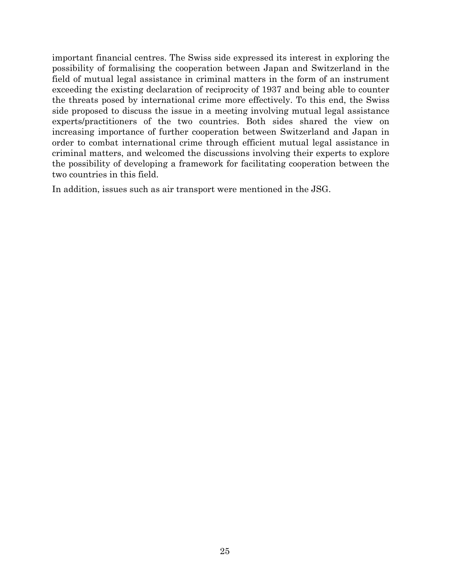important financial centres. The Swiss side expressed its interest in exploring the possibility of formalising the cooperation between Japan and Switzerland in the field of mutual legal assistance in criminal matters in the form of an instrument exceeding the existing declaration of reciprocity of 1937 and being able to counter the threats posed by international crime more effectively. To this end, the Swiss side proposed to discuss the issue in a meeting involving mutual legal assistance experts/practitioners of the two countries. Both sides shared the view on increasing importance of further cooperation between Switzerland and Japan in order to combat international crime through efficient mutual legal assistance in criminal matters, and welcomed the discussions involving their experts to explore the possibility of developing a framework for facilitating cooperation between the two countries in this field.

In addition, issues such as air transport were mentioned in the JSG.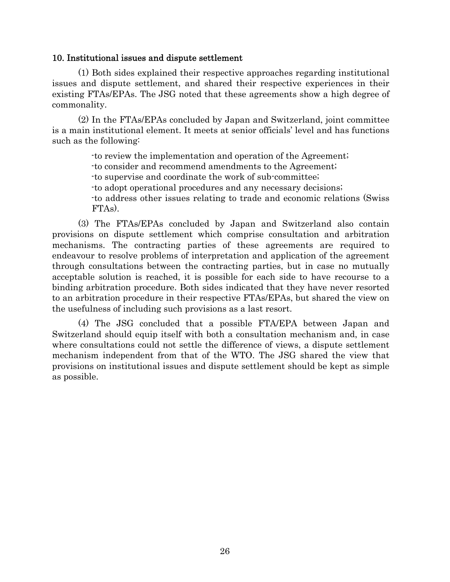## 10. Institutional issues and dispute settlement

(1) Both sides explained their respective approaches regarding institutional issues and dispute settlement, and shared their respective experiences in their existing FTAs/EPAs. The JSG noted that these agreements show a high degree of commonality.

(2) In the FTAs/EPAs concluded by Japan and Switzerland, joint committee is a main institutional element. It meets at senior officials' level and has functions such as the following:

-to review the implementation and operation of the Agreement;

-to consider and recommend amendments to the Agreement;

-to supervise and coordinate the work of sub-committee;

-to adopt operational procedures and any necessary decisions;

-to address other issues relating to trade and economic relations (Swiss FTAs).

(3) The FTAs/EPAs concluded by Japan and Switzerland also contain provisions on dispute settlement which comprise consultation and arbitration mechanisms. The contracting parties of these agreements are required to endeavour to resolve problems of interpretation and application of the agreement through consultations between the contracting parties, but in case no mutually acceptable solution is reached, it is possible for each side to have recourse to a binding arbitration procedure. Both sides indicated that they have never resorted to an arbitration procedure in their respective FTAs/EPAs, but shared the view on the usefulness of including such provisions as a last resort.

(4) The JSG concluded that a possible FTA/EPA between Japan and Switzerland should equip itself with both a consultation mechanism and, in case where consultations could not settle the difference of views, a dispute settlement mechanism independent from that of the WTO. The JSG shared the view that provisions on institutional issues and dispute settlement should be kept as simple as possible.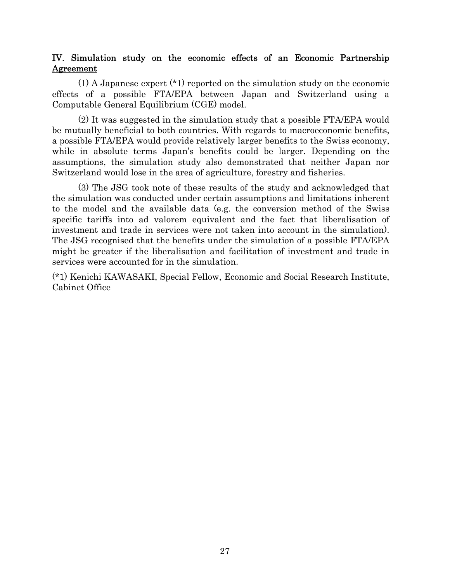# IV. Simulation study on the economic effects of an Economic Partnership Agreement

 (1) A Japanese expert (\*1) reported on the simulation study on the economic effects of a possible FTA/EPA between Japan and Switzerland using a Computable General Equilibrium (CGE) model.

 (2) It was suggested in the simulation study that a possible FTA/EPA would be mutually beneficial to both countries. With regards to macroeconomic benefits, a possible FTA/EPA would provide relatively larger benefits to the Swiss economy, while in absolute terms Japan's benefits could be larger. Depending on the assumptions, the simulation study also demonstrated that neither Japan nor Switzerland would lose in the area of agriculture, forestry and fisheries.

 (3) The JSG took note of these results of the study and acknowledged that the simulation was conducted under certain assumptions and limitations inherent to the model and the available data (e.g. the conversion method of the Swiss specific tariffs into ad valorem equivalent and the fact that liberalisation of investment and trade in services were not taken into account in the simulation). The JSG recognised that the benefits under the simulation of a possible FTA/EPA might be greater if the liberalisation and facilitation of investment and trade in services were accounted for in the simulation.

(\*1) Kenichi KAWASAKI, Special Fellow, Economic and Social Research Institute, Cabinet Office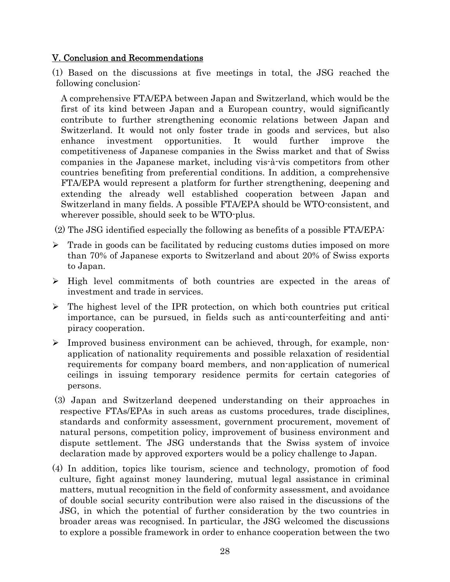# V. Conclusion and Recommendations

(1) Based on the discussions at five meetings in total, the JSG reached the following conclusion:

A comprehensive FTA/EPA between Japan and Switzerland, which would be the first of its kind between Japan and a European country, would significantly contribute to further strengthening economic relations between Japan and Switzerland. It would not only foster trade in goods and services, but also enhance investment opportunities. It would further improve the competitiveness of Japanese companies in the Swiss market and that of Swiss companies in the Japanese market, including vis-à-vis competitors from other countries benefiting from preferential conditions. In addition, a comprehensive FTA/EPA would represent a platform for further strengthening, deepening and extending the already well established cooperation between Japan and Switzerland in many fields. A possible FTA/EPA should be WTO-consistent, and wherever possible, should seek to be WTO-plus.

(2) The JSG identified especially the following as benefits of a possible FTA/EPA:

- $\triangleright$  Trade in goods can be facilitated by reducing customs duties imposed on more than 70% of Japanese exports to Switzerland and about 20% of Swiss exports to Japan.
- ¾ High level commitments of both countries are expected in the areas of investment and trade in services.
- $\triangleright$  The highest level of the IPR protection, on which both countries put critical importance, can be pursued, in fields such as anti-counterfeiting and antipiracy cooperation.
- ¾ Improved business environment can be achieved, through, for example, nonapplication of nationality requirements and possible relaxation of residential requirements for company board members, and non-application of numerical ceilings in issuing temporary residence permits for certain categories of persons.
- (3) Japan and Switzerland deepened understanding on their approaches in respective FTAs/EPAs in such areas as customs procedures, trade disciplines, standards and conformity assessment, government procurement, movement of natural persons, competition policy, improvement of business environment and dispute settlement. The JSG understands that the Swiss system of invoice declaration made by approved exporters would be a policy challenge to Japan.
- (4) In addition, topics like tourism, science and technology, promotion of food culture, fight against money laundering, mutual legal assistance in criminal matters, mutual recognition in the field of conformity assessment, and avoidance of double social security contribution were also raised in the discussions of the JSG, in which the potential of further consideration by the two countries in broader areas was recognised. In particular, the JSG welcomed the discussions to explore a possible framework in order to enhance cooperation between the two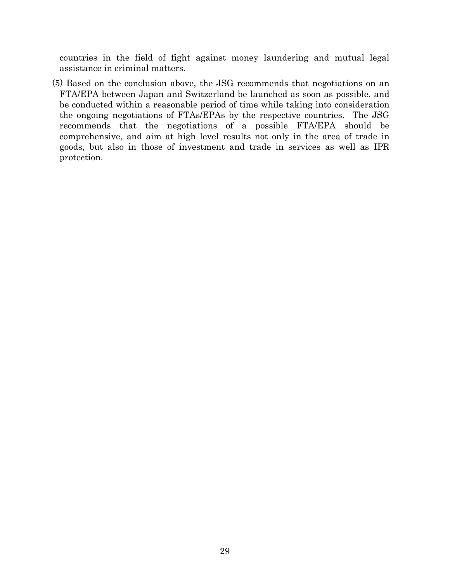countries in the field of fight against money laundering and mutual legal assistance in criminal matters.

(5) Based on the conclusion above, the JSG recommends that negotiations on an FTA/EPA between Japan and Switzerland be launched as soon as possible, and be conducted within a reasonable period of time while taking into consideration the ongoing negotiations of FTAs/EPAs by the respective countries. The JSG recommends that the negotiations of a possible FTA/EPA should be comprehensive, and aim at high level results not only in the area of trade in goods, but also in those of investment and trade in services as well as IPR protection.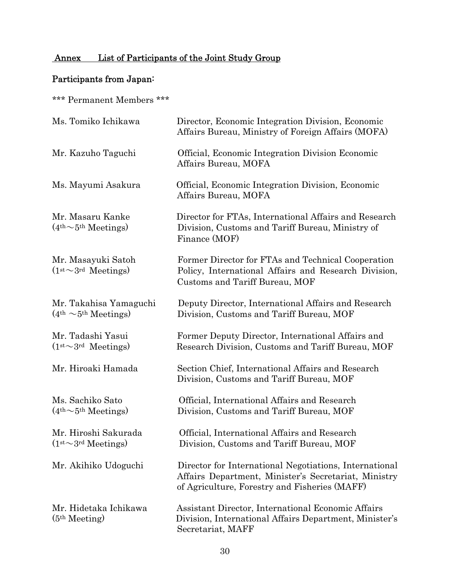# Annex List of Participants of the Joint Study Group

# Participants from Japan:

\*\*\* Permanent Members \*\*\*

| Ms. Tomiko Ichikawa                                | Director, Economic Integration Division, Economic<br>Affairs Bureau, Ministry of Foreign Affairs (MOFA)                                                         |
|----------------------------------------------------|-----------------------------------------------------------------------------------------------------------------------------------------------------------------|
| Mr. Kazuho Taguchi                                 | Official, Economic Integration Division Economic<br>Affairs Bureau, MOFA                                                                                        |
| Ms. Mayumi Asakura                                 | Official, Economic Integration Division, Economic<br>Affairs Bureau, MOFA                                                                                       |
| Mr. Masaru Kanke<br>$(4th \sim 5th Meetings)$      | Director for FTAs, International Affairs and Research<br>Division, Customs and Tariff Bureau, Ministry of<br>Finance (MOF)                                      |
| Mr. Masayuki Satoh<br>$(1st \sim 3rd$ Meetings)    | Former Director for FTAs and Technical Cooperation<br>Policy, International Affairs and Research Division,<br>Customs and Tariff Bureau, MOF                    |
| Mr. Takahisa Yamaguchi<br>$(4th \sim 5th Meeting)$ | Deputy Director, International Affairs and Research<br>Division, Customs and Tariff Bureau, MOF                                                                 |
| Mr. Tadashi Yasui<br>$(1st \sim 3rd$ Meetings)     | Former Deputy Director, International Affairs and<br>Research Division, Customs and Tariff Bureau, MOF                                                          |
| Mr. Hiroaki Hamada                                 | Section Chief, International Affairs and Research<br>Division, Customs and Tariff Bureau, MOF                                                                   |
| Ms. Sachiko Sato<br>$(4th \sim 5th Meetings)$      | Official, International Affairs and Research<br>Division, Customs and Tariff Bureau, MOF                                                                        |
| Mr. Hiroshi Sakurada<br>$(1st \sim 3rd Meetings)$  | Official, International Affairs and Research<br>Division, Customs and Tariff Bureau, MOF                                                                        |
| Mr. Akihiko Udoguchi                               | Director for International Negotiations, International<br>Affairs Department, Minister's Secretariat, Ministry<br>of Agriculture, Forestry and Fisheries (MAFF) |
| Mr. Hidetaka Ichikawa<br>(5 <sup>th</sup> Meeting) | Assistant Director, International Economic Affairs<br>Division, International Affairs Department, Minister's<br>Secretariat, MAFF                               |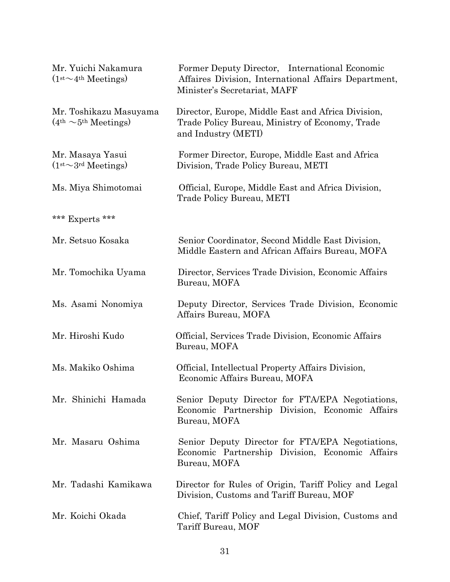| Mr. Yuichi Nakamura<br>$(1st \sim 4th Meeting)$    | Former Deputy Director, International Economic<br>Affaires Division, International Affairs Department,<br>Minister's Secretariat, MAFF |
|----------------------------------------------------|----------------------------------------------------------------------------------------------------------------------------------------|
| Mr. Toshikazu Masuyama<br>$(4th \sim 5th Meeting)$ | Director, Europe, Middle East and Africa Division,<br>Trade Policy Bureau, Ministry of Economy, Trade<br>and Industry (METI)           |
| Mr. Masaya Yasui<br>$(1st \sim 3rd Meeting)$       | Former Director, Europe, Middle East and Africa<br>Division, Trade Policy Bureau, METI                                                 |
| Ms. Miya Shimotomai                                | Official, Europe, Middle East and Africa Division,<br>Trade Policy Bureau, METI                                                        |
| *** Experts ***                                    |                                                                                                                                        |
| Mr. Setsuo Kosaka                                  | Senior Coordinator, Second Middle East Division,<br>Middle Eastern and African Affairs Bureau, MOFA                                    |
| Mr. Tomochika Uyama                                | Director, Services Trade Division, Economic Affairs<br>Bureau, MOFA                                                                    |
| Ms. Asami Nonomiya                                 | Deputy Director, Services Trade Division, Economic<br>Affairs Bureau, MOFA                                                             |
| Mr. Hiroshi Kudo                                   | Official, Services Trade Division, Economic Affairs<br>Bureau, MOFA                                                                    |
| Ms. Makiko Oshima                                  | Official, Intellectual Property Affairs Division,<br>Economic Affairs Bureau, MOFA                                                     |
| Mr. Shinichi Hamada                                | Senior Deputy Director for FTA/EPA Negotiations,<br>Economic Partnership Division, Economic Affairs<br>Bureau, MOFA                    |
| Mr. Masaru Oshima                                  | Senior Deputy Director for FTA/EPA Negotiations,<br>Economic Partnership Division, Economic Affairs<br>Bureau, MOFA                    |
| Mr. Tadashi Kamikawa                               | Director for Rules of Origin, Tariff Policy and Legal<br>Division, Customs and Tariff Bureau, MOF                                      |
| Mr. Koichi Okada                                   | Chief, Tariff Policy and Legal Division, Customs and<br>Tariff Bureau, MOF                                                             |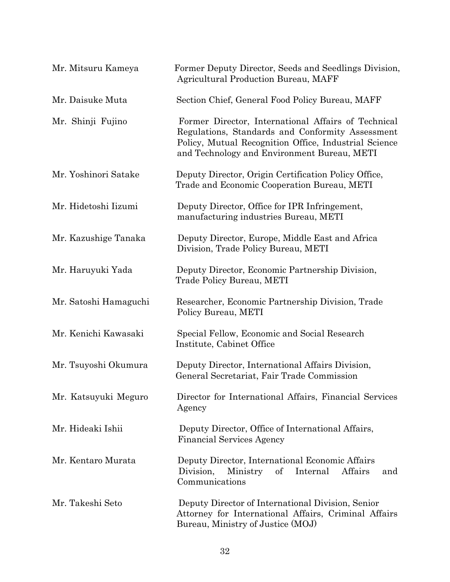| Mr. Mitsuru Kameya    | Former Deputy Director, Seeds and Seedlings Division,<br><b>Agricultural Production Bureau, MAFF</b>                                                                                                            |
|-----------------------|-----------------------------------------------------------------------------------------------------------------------------------------------------------------------------------------------------------------|
| Mr. Daisuke Muta      | Section Chief, General Food Policy Bureau, MAFF                                                                                                                                                                 |
| Mr. Shinji Fujino     | Former Director, International Affairs of Technical<br>Regulations, Standards and Conformity Assessment<br>Policy, Mutual Recognition Office, Industrial Science<br>and Technology and Environment Bureau, METI |
| Mr. Yoshinori Satake  | Deputy Director, Origin Certification Policy Office,<br>Trade and Economic Cooperation Bureau, METI                                                                                                             |
| Mr. Hidetoshi Iizumi  | Deputy Director, Office for IPR Infringement,<br>manufacturing industries Bureau, METI                                                                                                                          |
| Mr. Kazushige Tanaka  | Deputy Director, Europe, Middle East and Africa<br>Division, Trade Policy Bureau, METI                                                                                                                          |
| Mr. Haruyuki Yada     | Deputy Director, Economic Partnership Division,<br>Trade Policy Bureau, METI                                                                                                                                    |
| Mr. Satoshi Hamaguchi | Researcher, Economic Partnership Division, Trade<br>Policy Bureau, METI                                                                                                                                         |
| Mr. Kenichi Kawasaki  | Special Fellow, Economic and Social Research<br>Institute, Cabinet Office                                                                                                                                       |
| Mr. Tsuyoshi Okumura  | Deputy Director, International Affairs Division,<br>General Secretariat, Fair Trade Commission                                                                                                                  |
| Mr. Katsuyuki Meguro  | Director for International Affairs, Financial Services<br>Agency                                                                                                                                                |
| Mr. Hideaki Ishii     | Deputy Director, Office of International Affairs,<br><b>Financial Services Agency</b>                                                                                                                           |
| Mr. Kentaro Murata    | Deputy Director, International Economic Affairs<br>of<br>Internal<br>Affairs<br>Division,<br>Ministry<br>and<br>Communications                                                                                  |
| Mr. Takeshi Seto      | Deputy Director of International Division, Senior<br>Attorney for International Affairs, Criminal Affairs<br>Bureau, Ministry of Justice (MOJ)                                                                  |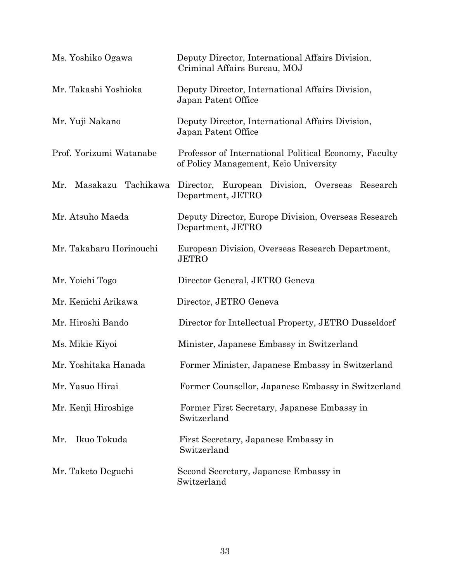| Ms. Yoshiko Ogawa         | Deputy Director, International Affairs Division,<br>Criminal Affairs Bureau, MOJ               |
|---------------------------|------------------------------------------------------------------------------------------------|
| Mr. Takashi Yoshioka      | Deputy Director, International Affairs Division,<br>Japan Patent Office                        |
| Mr. Yuji Nakano           | Deputy Director, International Affairs Division,<br>Japan Patent Office                        |
| Prof. Yorizumi Watanabe   | Professor of International Political Economy, Faculty<br>of Policy Management, Keio University |
| Masakazu Tachikawa<br>Mr. | Director, European Division, Overseas Research<br>Department, JETRO                            |
| Mr. Atsuho Maeda          | Deputy Director, Europe Division, Overseas Research<br>Department, JETRO                       |
| Mr. Takaharu Horinouchi   | European Division, Overseas Research Department,<br><b>JETRO</b>                               |
| Mr. Yoichi Togo           | Director General, JETRO Geneva                                                                 |
| Mr. Kenichi Arikawa       | Director, JETRO Geneva                                                                         |
| Mr. Hiroshi Bando         | Director for Intellectual Property, JETRO Dusseldorf                                           |
| Ms. Mikie Kiyoi           | Minister, Japanese Embassy in Switzerland                                                      |
| Mr. Yoshitaka Hanada      | Former Minister, Japanese Embassy in Switzerland                                               |
| Mr. Yasuo Hirai           | Former Counsellor, Japanese Embassy in Switzerland                                             |
| Mr. Kenji Hiroshige       | Former First Secretary, Japanese Embassy in<br>Switzerland                                     |
| Ikuo Tokuda<br>Mr.        | First Secretary, Japanese Embassy in<br>Switzerland                                            |
| Mr. Taketo Deguchi        | Second Secretary, Japanese Embassy in<br>Switzerland                                           |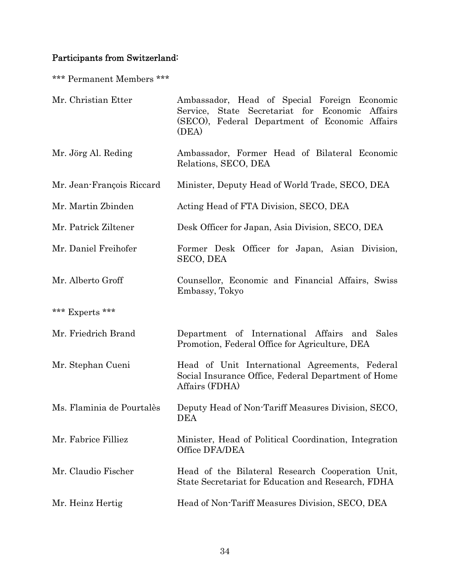# Participants from Switzerland:

\*\*\* Permanent Members \*\*\*

| Mr. Christian Etter       | Ambassador, Head of Special Foreign Economic<br>State Secretariat for Economic<br>Service,<br>Affairs<br>(SECO), Federal Department of Economic Affairs<br>(DEA) |
|---------------------------|------------------------------------------------------------------------------------------------------------------------------------------------------------------|
| Mr. Jörg Al. Reding       | Ambassador, Former Head of Bilateral Economic<br>Relations, SECO, DEA                                                                                            |
| Mr. Jean-François Riccard | Minister, Deputy Head of World Trade, SECO, DEA                                                                                                                  |
| Mr. Martin Zbinden        | Acting Head of FTA Division, SECO, DEA                                                                                                                           |
| Mr. Patrick Ziltener      | Desk Officer for Japan, Asia Division, SECO, DEA                                                                                                                 |
| Mr. Daniel Freihofer      | Former Desk Officer for Japan, Asian Division,<br>SECO, DEA                                                                                                      |
| Mr. Alberto Groff         | Counsellor, Economic and Financial Affairs, Swiss<br>Embassy, Tokyo                                                                                              |
| *** Experts ***           |                                                                                                                                                                  |
| Mr. Friedrich Brand       | Department of International Affairs and<br>Sales<br>Promotion, Federal Office for Agriculture, DEA                                                               |
| Mr. Stephan Cueni         | Head of Unit International Agreements, Federal<br>Social Insurance Office, Federal Department of Home<br>Affairs (FDHA)                                          |
| Ms. Flaminia de Pourtalès | Deputy Head of Non-Tariff Measures Division, SECO,<br><b>DEA</b>                                                                                                 |
| Mr. Fabrice Filliez       | Minister, Head of Political Coordination, Integration<br>Office DFA/DEA                                                                                          |
| Mr. Claudio Fischer       | Head of the Bilateral Research Cooperation Unit,<br>State Secretariat for Education and Research, FDHA                                                           |
| Mr. Heinz Hertig          | Head of Non-Tariff Measures Division, SECO, DEA                                                                                                                  |